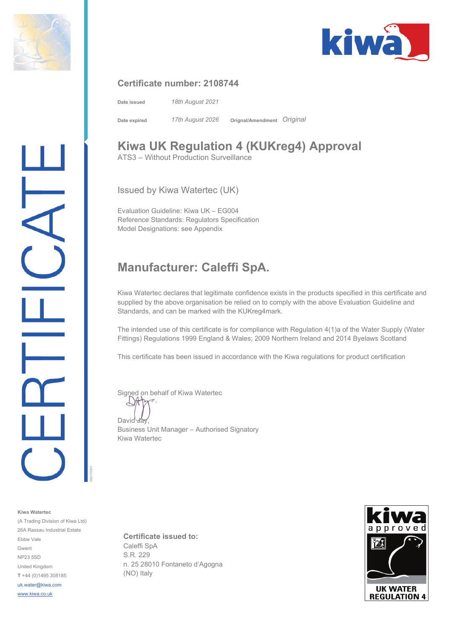



#### **Certificate number: 2108744**

**Date issued** *18th August 2021* **Date expired** *17th August 2026* **Orignal/Amendment** *Original* 

## **Kiwa UK Regulation 4 (KUKreg4) Approval**

ATS3 – Without Production Surveillance

Issued by Kiwa Watertec (UK)

Evaluation Guideline: Kiwa UK – EG004 Reference Standards: Regulators Specification Model Designations: see Appendix

### **Manufacturer: Caleffi SpA.**

Kiwa Watertec declares that legitimate confidence exists in the products specified in this certificate and supplied by the above organisation be relied on to comply with the above Evaluation Guideline and Standards, and can be marked with the KUKreg4mark.

The intended use of this certificate is for compliance with Regulation 4(1)a of the Water Supply (Water Fittings) Regulations 1999 England & Wales; 2009 Northern Ireland and 2014 Byelaws Scotland

This certificate has been issued in accordance with the Kiwa regulations for product certification

Signed on behalf of Kiwa Watertec

David Jay

Business Unit Manager – Authorised Signatory Kiwa Watertec

**Certificate issued to:**  Caleffi SpA S.R. 229 n. 25 28010 Fontaneto d'Agogna (NO) Italy



(A Trading Division of Kiwa Ltd) 26A Rassau Industrial Estate Ebbw Vale Gwent NP23 5SD United Kingdom **T** +44 (0)1495 308185 uk.water@kiwa.com

390/170301

www.kiwa.co.uk

**Kiwa Watertec**